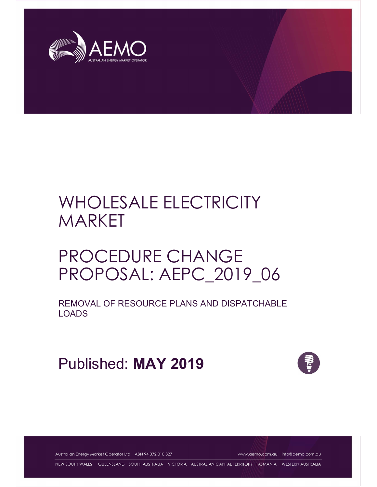

# WHOLESALE ELECTRICITY MARKET

# PROCEDURE CHANGE PROPOSAL: AEPC\_2019\_06

REMOVAL OF RESOURCE PLANS AND DISPATCHABLE LOADS

Published: MAY 2019



Australian Energy Market Operator Ltd ABN 94 072 010 327 www.aemo.com.au info@aemo.com.au

NEW SOUTH WALES QUEENSLAND SOUTH AUSTRALIA VICTORIA AUSTRALIAN CAPITAL TERRITORY TASMANIA WESTERN AUSTRALIA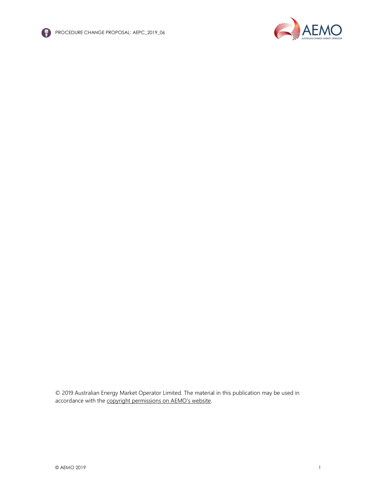

PROCEDURE CHANGE PROPOSAL: AEPC\_2019\_06



© 2019 Australian Energy Market Operator Limited. The material in this publication may be used in accordance with the copyright permissions on AEMO's website.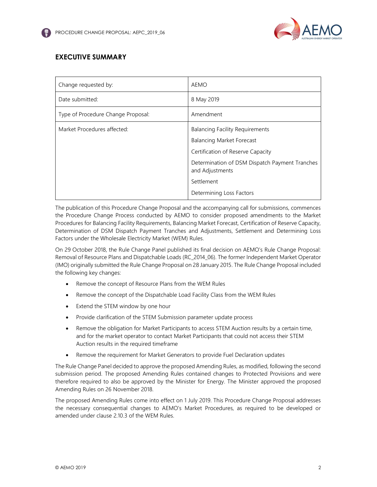

# EXECUTIVE SUMMARY

| Change requested by:               | AEMO                                                              |
|------------------------------------|-------------------------------------------------------------------|
| Date submitted:                    | 8 May 2019                                                        |
| Type of Procedure Change Proposal: | Amendment                                                         |
| Market Procedures affected:        | <b>Balancing Facility Requirements</b>                            |
|                                    | <b>Balancing Market Forecast</b>                                  |
|                                    | Certification of Reserve Capacity                                 |
|                                    | Determination of DSM Dispatch Payment Tranches<br>and Adjustments |
|                                    | Settlement                                                        |
|                                    | Determining Loss Factors                                          |

The publication of this Procedure Change Proposal and the accompanying call for submissions, commences the Procedure Change Process conducted by AEMO to consider proposed amendments to the Market Procedures for Balancing Facility Requirements, Balancing Market Forecast, Certification of Reserve Capacity, Determination of DSM Dispatch Payment Tranches and Adjustments, Settlement and Determining Loss Factors under the Wholesale Electricity Market (WEM) Rules.

On 29 October 2018, the Rule Change Panel published its final decision on AEMO's Rule Change Proposal: Removal of Resource Plans and Dispatchable Loads (RC\_2014\_06). The former Independent Market Operator (IMO) originally submitted the Rule Change Proposal on 28 January 2015. The Rule Change Proposal included the following key changes:

- Remove the concept of Resource Plans from the WEM Rules
- Remove the concept of the Dispatchable Load Facility Class from the WEM Rules
- Extend the STEM window by one hour
- Provide clarification of the STEM Submission parameter update process
- Remove the obligation for Market Participants to access STEM Auction results by a certain time, and for the market operator to contact Market Participants that could not access their STEM Auction results in the required timeframe
- Remove the requirement for Market Generators to provide Fuel Declaration updates

The Rule Change Panel decided to approve the proposed Amending Rules, as modified, following the second submission period. The proposed Amending Rules contained changes to Protected Provisions and were therefore required to also be approved by the Minister for Energy. The Minister approved the proposed Amending Rules on 26 November 2018.

The proposed Amending Rules come into effect on 1 July 2019. This Procedure Change Proposal addresses the necessary consequential changes to AEMO's Market Procedures, as required to be developed or amended under clause 2.10.3 of the WEM Rules.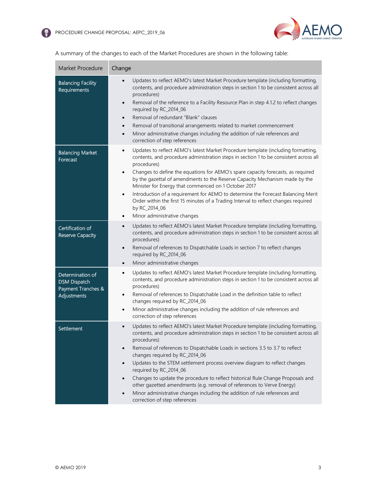

| <b>Market Procedure</b>                                                      | Change                                                                                                                                                                                                                                                                                                                                                                                                                                                                                                                                                                                                                                                                                                                                                            |
|------------------------------------------------------------------------------|-------------------------------------------------------------------------------------------------------------------------------------------------------------------------------------------------------------------------------------------------------------------------------------------------------------------------------------------------------------------------------------------------------------------------------------------------------------------------------------------------------------------------------------------------------------------------------------------------------------------------------------------------------------------------------------------------------------------------------------------------------------------|
| <b>Balancing Facility</b><br>Requirements                                    | Updates to reflect AEMO's latest Market Procedure template (including formatting,<br>contents, and procedure administration steps in section 1 to be consistent across all<br>procedures)<br>Removal of the reference to a Facility Resource Plan in step 4.1.2 to reflect changes<br>$\bullet$<br>required by RC_2014_06<br>Removal of redundant "Blank" clauses<br>$\bullet$<br>Removal of transitional arrangements related to market commencement<br>$\bullet$<br>Minor administrative changes including the addition of rule references and<br>$\bullet$<br>correction of step references                                                                                                                                                                    |
| <b>Balancing Market</b><br>Forecast                                          | Updates to reflect AEMO's latest Market Procedure template (including formatting,<br>$\bullet$<br>contents, and procedure administration steps in section 1 to be consistent across all<br>procedures)<br>Changes to define the equations for AEMO's spare capacity forecasts, as required<br>$\bullet$<br>by the gazettal of amendments to the Reserve Capacity Mechanism made by the<br>Minister for Energy that commenced on 1 October 2017<br>Introduction of a requirement for AEMO to determine the Forecast Balancing Merit<br>$\bullet$<br>Order within the first 15 minutes of a Trading Interval to reflect changes required<br>by RC_2014_06<br>Minor administrative changes<br>$\bullet$                                                              |
| Certification of<br><b>Reserve Capacity</b>                                  | Updates to reflect AEMO's latest Market Procedure template (including formatting,<br>$\bullet$<br>contents, and procedure administration steps in section 1 to be consistent across all<br>procedures)<br>Removal of references to Dispatchable Loads in section 7 to reflect changes<br>$\bullet$<br>required by RC_2014_06<br>Minor administrative changes<br>$\bullet$                                                                                                                                                                                                                                                                                                                                                                                         |
| Determination of<br><b>DSM Dispatch</b><br>Payment Tranches &<br>Adjustments | Updates to reflect AEMO's latest Market Procedure template (including formatting,<br>$\bullet$<br>contents, and procedure administration steps in section 1 to be consistent across all<br>procedures)<br>Removal of references to Dispatchable Load in the definition table to reflect<br>$\bullet$<br>changes required by RC_2014_06<br>Minor administrative changes including the addition of rule references and<br>$\bullet$<br>correction of step references                                                                                                                                                                                                                                                                                                |
| Settlement                                                                   | Updates to reflect AEMO's latest Market Procedure template (including formatting,<br>$\bullet$<br>contents, and procedure administration steps in section 1 to be consistent across all<br>procedures)<br>Removal of references to Dispatchable Loads in sections 3.5 to 3.7 to reflect<br>$\bullet$<br>changes required by RC_2014_06<br>Updates to the STEM settlement process overview diagram to reflect changes<br>$\bullet$<br>required by RC_2014_06<br>Changes to update the procedure to reflect historical Rule Change Proposals and<br>$\bullet$<br>other gazetted amendments (e.g. removal of references to Verve Energy)<br>Minor administrative changes including the addition of rule references and<br>$\bullet$<br>correction of step references |

A summary of the changes to each of the Market Procedures are shown in the following table: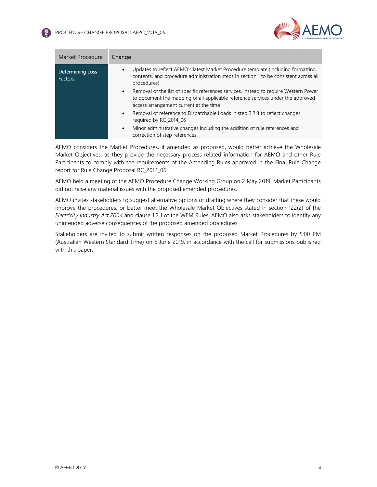

| <b>Market Procedure</b>            | Change                                                                                                                                                                                                                          |
|------------------------------------|---------------------------------------------------------------------------------------------------------------------------------------------------------------------------------------------------------------------------------|
| Determining Loss<br><b>Factors</b> | Updates to reflect AEMO's latest Market Procedure template (including formatting,<br>contents, and procedure administration steps in section 1 to be consistent across all<br>procedures)                                       |
|                                    | Removal of the list of specific references services, instead to require Western Power<br>$\bullet$<br>to document the mapping of all applicable reference services under the approved<br>access arrangement current at the time |
|                                    | Removal of reference to Dispatchable Loads in step 3.2.3 to reflect changes<br>$\bullet$<br>required by RC 2014 06                                                                                                              |
|                                    | Minor administrative changes including the addition of rule references and<br>$\bullet$<br>correction of step references                                                                                                        |

AEMO considers the Market Procedures, if amended as proposed, would better achieve the Wholesale Market Objectives, as they provide the necessary process related information for AEMO and other Rule Participants to comply with the requirements of the Amending Rules approved in the Final Rule Change report for Rule Change Proposal RC\_2014\_06.

AEMO held a meeting of the AEMO Procedure Change Working Group on 2 May 2019. Market Participants did not raise any material issues with the proposed amended procedures.

AEMO invites stakeholders to suggest alternative options or drafting where they consider that these would improve the procedures, or better meet the Wholesale Market Objectives stated in section 122(2) of the Electricity Industry Act 2004 and clause 1.2.1 of the WEM Rules. AEMO also asks stakeholders to identify any unintended adverse consequences of the proposed amended procedures.

Stakeholders are invited to submit written responses on the proposed Market Procedures by 5:00 PM (Australian Western Standard Time) on 6 June 2019, in accordance with the call for submissions published with this paper.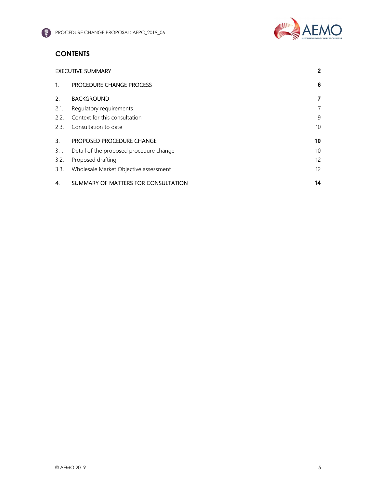

# **CONTENTS**

|                  | <b>EXECUTIVE SUMMARY</b>                |                   |
|------------------|-----------------------------------------|-------------------|
| $\mathbf{1}$     | <b>PROCEDURE CHANGE PROCESS</b>         | 6                 |
| 2.               | <b>BACKGROUND</b>                       | 7                 |
| 2.1.             | Regulatory requirements                 | 7                 |
| 2.2.             | Context for this consultation           | 9                 |
| 2.3.             | Consultation to date                    | 10 <sup>°</sup>   |
| $\overline{3}$ . | PROPOSED PROCEDURE CHANGE               | 10                |
| 3.1.             | Detail of the proposed procedure change | 10 <sup>°</sup>   |
| 3.2.             | Proposed drafting                       | $12 \overline{ }$ |
| 3.3.             | Wholesale Market Objective assessment   | $12 \overline{ }$ |
| 4.               | SUMMARY OF MATTERS FOR CONSULTATION     | 14                |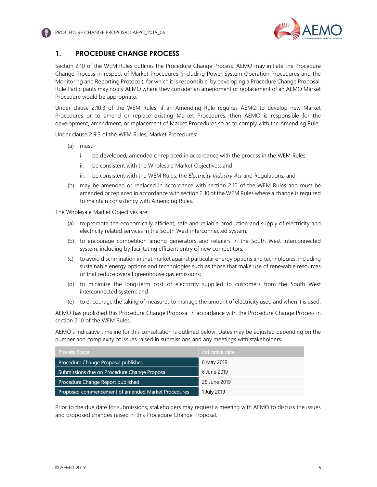

# 1. PROCEDURE CHANGE PROCESS

Section 2.10 of the WEM Rules outlines the Procedure Change Process. AEMO may initiate the Procedure Change Process in respect of Market Procedures (including Power System Operation Procedures and the Monitoring and Reporting Protocol), for which it is responsible, by developing a Procedure Change Proposal. Rule Participants may notify AEMO where they consider an amendment or replacement of an AEMO Market Procedure would be appropriate.

Under clause 2.10.3 of the WEM Rules, if an Amending Rule requires AEMO to develop new Market Procedures or to amend or replace existing Market Procedures, then AEMO is responsible for the development, amendment, or replacement of Market Procedures so as to comply with the Amending Rule.

Under clause 2.9.3 of the WEM Rules, Market Procedures:

- (a) must:
	- i. be developed, amended or replaced in accordance with the process in the WEM Rules;
	- ii. be consistent with the Wholesale Market Objectives; and
	- iii. be consistent with the WEM Rules, the Electricity Industry Act and Regulations; and
- (b) may be amended or replaced in accordance with section 2.10 of the WEM Rules and must be amended or replaced in accordance with section 2.10 of the WEM Rules where a change is required to maintain consistency with Amending Rules.

The Wholesale Market Objectives are:

- (a) to promote the economically efficient, safe and reliable production and supply of electricity and electricity related services in the South West interconnected system;
- (b) to encourage competition among generators and retailers in the South West interconnected system, including by facilitating efficient entry of new competitors;
- (c) to avoid discrimination in that market against particular energy options and technologies, including sustainable energy options and technologies such as those that make use of renewable resources or that reduce overall greenhouse gas emissions;
- (d) to minimise the long-term cost of electricity supplied to customers from the South West interconnected system; and
- (e) to encourage the taking of measures to manage the amount of electricity used and when it is used.

AEMO has published this Procedure Change Proposal in accordance with the Procedure Change Process in section 2.10 of the WEM Rules.

AEMO's indicative timeline for this consultation is outlined below. Dates may be adjusted depending on the number and complexity of issues raised in submissions and any meetings with stakeholders.

| <b>Process Stage</b>                               | Indicative date |
|----------------------------------------------------|-----------------|
| Procedure Change Proposal published                | 8 May 2019      |
| Submissions due on Procedure Change Proposal       | 6 June 2019     |
| Procedure Change Report published                  | 25 June 2019    |
| Proposed commencement of amended Market Procedures | 1 July 2019     |

Prior to the due date for submissions, stakeholders may request a meeting with AEMO to discuss the issues and proposed changes raised in this Procedure Change Proposal.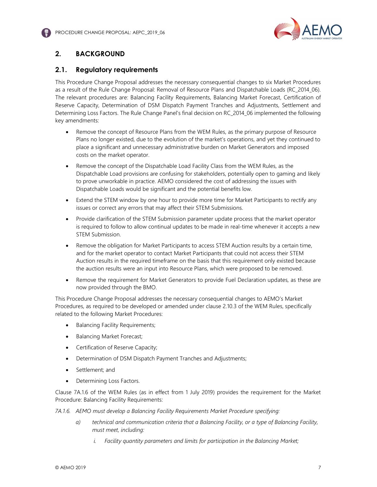

# 2. BACKGROUND

## 2.1. Regulatory requirements

This Procedure Change Proposal addresses the necessary consequential changes to six Market Procedures as a result of the Rule Change Proposal: Removal of Resource Plans and Dispatchable Loads (RC\_2014\_06). The relevant procedures are: Balancing Facility Requirements, Balancing Market Forecast, Certification of Reserve Capacity, Determination of DSM Dispatch Payment Tranches and Adjustments, Settlement and Determining Loss Factors. The Rule Change Panel's final decision on RC\_2014\_06 implemented the following key amendments:

- Remove the concept of Resource Plans from the WEM Rules, as the primary purpose of Resource Plans no longer existed, due to the evolution of the market's operations, and yet they continued to place a significant and unnecessary administrative burden on Market Generators and imposed costs on the market operator.
- Remove the concept of the Dispatchable Load Facility Class from the WEM Rules, as the Dispatchable Load provisions are confusing for stakeholders, potentially open to gaming and likely to prove unworkable in practice. AEMO considered the cost of addressing the issues with Dispatchable Loads would be significant and the potential benefits low.
- Extend the STEM window by one hour to provide more time for Market Participants to rectify any issues or correct any errors that may affect their STEM Submissions.
- Provide clarification of the STEM Submission parameter update process that the market operator is required to follow to allow continual updates to be made in real-time whenever it accepts a new STEM Submission.
- Remove the obligation for Market Participants to access STEM Auction results by a certain time, and for the market operator to contact Market Participants that could not access their STEM Auction results in the required timeframe on the basis that this requirement only existed because the auction results were an input into Resource Plans, which were proposed to be removed.
- Remove the requirement for Market Generators to provide Fuel Declaration updates, as these are now provided through the BMO.

This Procedure Change Proposal addresses the necessary consequential changes to AEMO's Market Procedures, as required to be developed or amended under clause 2.10.3 of the WEM Rules, specifically related to the following Market Procedures:

- Balancing Facility Requirements;
- Balancing Market Forecast;
- **•** Certification of Reserve Capacity;
- Determination of DSM Dispatch Payment Tranches and Adjustments;
- Settlement; and
- Determining Loss Factors.

Clause 7A.1.6 of the WEM Rules (as in effect from 1 July 2019) provides the requirement for the Market Procedure: Balancing Facility Requirements:

7A.1.6. AEMO must develop a Balancing Facility Requirements Market Procedure specifying:

- a) technical and communication criteria that a Balancing Facility, or a type of Balancing Facility, must meet, including:
	- i. Facility quantity parameters and limits for participation in the Balancing Market;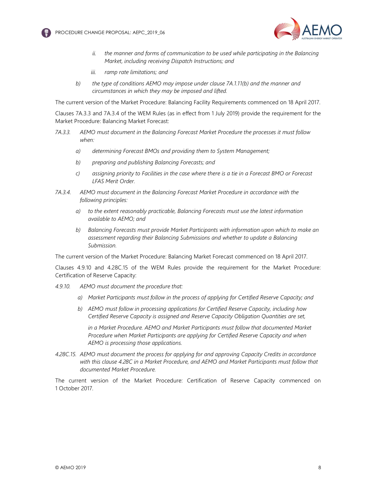



- ii. the manner and forms of communication to be used while participating in the Balancing Market, including receiving Dispatch Instructions; and
- iii. ramp rate limitations; and
- b) the type of conditions AEMO may impose under clause 7A.1.11(b) and the manner and circumstances in which they may be imposed and lifted.

The current version of the Market Procedure: Balancing Facility Requirements commenced on 18 April 2017.

Clauses 7A.3.3 and 7A.3.4 of the WEM Rules (as in effect from 1 July 2019) provide the requirement for the Market Procedure: Balancing Market Forecast:

- 7A.3.3. AEMO must document in the Balancing Forecast Market Procedure the processes it must follow when:
	- a) determining Forecast BMOs and providing them to System Management;
	- b) preparing and publishing Balancing Forecasts; and
	- c) assigning priority to Facilities in the case where there is a tie in a Forecast BMO or Forecast LFAS Merit Order.
- 7A.3.4. AEMO must document in the Balancing Forecast Market Procedure in accordance with the following principles:
	- a) to the extent reasonably practicable, Balancing Forecasts must use the latest information available to AEMO; and
	- b) Balancing Forecasts must provide Market Participants with information upon which to make an assessment regarding their Balancing Submissions and whether to update a Balancing Submission.

The current version of the Market Procedure: Balancing Market Forecast commenced on 18 April 2017.

Clauses 4.9.10 and 4.28C.15 of the WEM Rules provide the requirement for the Market Procedure: Certification of Reserve Capacity:

- 4.9.10. AEMO must document the procedure that:
	- a) Market Participants must follow in the process of applying for Certified Reserve Capacity; and
	- b) AEMO must follow in processing applications for Certified Reserve Capacity, including how Certified Reserve Capacity is assigned and Reserve Capacity Obligation Quantities are set,

in a Market Procedure. AEMO and Market Participants must follow that documented Market Procedure when Market Participants are applying for Certified Reserve Capacity and when AEMO is processing those applications.

4.28C.15. AEMO must document the process for applying for and approving Capacity Credits in accordance with this clause 4.28C in a Market Procedure, and AEMO and Market Participants must follow that documented Market Procedure.

The current version of the Market Procedure: Certification of Reserve Capacity commenced on 1 October 2017.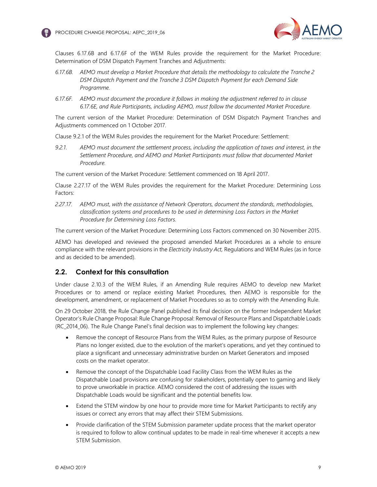



Clauses 6.17.6B and 6.17.6F of the WEM Rules provide the requirement for the Market Procedure: Determination of DSM Dispatch Payment Tranches and Adjustments:

- 6.17.6B. AEMO must develop a Market Procedure that details the methodology to calculate the Tranche 2 DSM Dispatch Payment and the Tranche 3 DSM Dispatch Payment for each Demand Side Programme.
- 6.17.6F. AEMO must document the procedure it follows in making the adjustment referred to in clause 6.17.6E, and Rule Participants, including AEMO, must follow the documented Market Procedure.

The current version of the Market Procedure: Determination of DSM Dispatch Payment Tranches and Adjustments commenced on 1 October 2017.

Clause 9.2.1 of the WEM Rules provides the requirement for the Market Procedure: Settlement:

9.2.1. AEMO must document the settlement process, including the application of taxes and interest, in the Settlement Procedure, and AEMO and Market Participants must follow that documented Market Procedure.

The current version of the Market Procedure: Settlement commenced on 18 April 2017.

Clause 2.27.17 of the WEM Rules provides the requirement for the Market Procedure: Determining Loss Factors:

2.27.17. AEMO must, with the assistance of Network Operators, document the standards, methodologies, classification systems and procedures to be used in determining Loss Factors in the Market Procedure for Determining Loss Factors.

The current version of the Market Procedure: Determining Loss Factors commenced on 30 November 2015.

AEMO has developed and reviewed the proposed amended Market Procedures as a whole to ensure compliance with the relevant provisions in the Electricity Industry Act, Regulations and WEM Rules (as in force and as decided to be amended).

## 2.2. Context for this consultation

Under clause 2.10.3 of the WEM Rules, if an Amending Rule requires AEMO to develop new Market Procedures or to amend or replace existing Market Procedures, then AEMO is responsible for the development, amendment, or replacement of Market Procedures so as to comply with the Amending Rule.

On 29 October 2018, the Rule Change Panel published its final decision on the former Independent Market Operator's Rule Change Proposal: Rule Change Proposal: Removal of Resource Plans and Dispatchable Loads (RC\_2014\_06). The Rule Change Panel's final decision was to implement the following key changes:

- Remove the concept of Resource Plans from the WEM Rules, as the primary purpose of Resource Plans no longer existed, due to the evolution of the market's operations, and yet they continued to place a significant and unnecessary administrative burden on Market Generators and imposed costs on the market operator.
- Remove the concept of the Dispatchable Load Facility Class from the WEM Rules as the Dispatchable Load provisions are confusing for stakeholders, potentially open to gaming and likely to prove unworkable in practice. AEMO considered the cost of addressing the issues with Dispatchable Loads would be significant and the potential benefits low.
- Extend the STEM window by one hour to provide more time for Market Participants to rectify any issues or correct any errors that may affect their STEM Submissions.
- Provide clarification of the STEM Submission parameter update process that the market operator is required to follow to allow continual updates to be made in real-time whenever it accepts a new STEM Submission.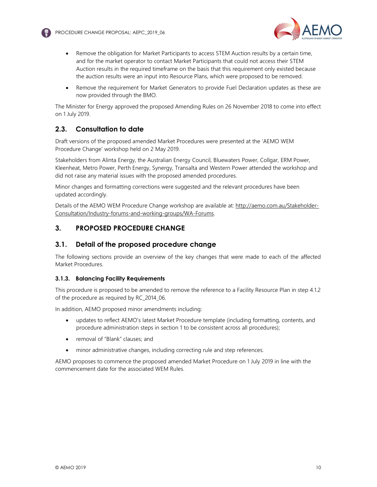



- Remove the obligation for Market Participants to access STEM Auction results by a certain time, and for the market operator to contact Market Participants that could not access their STEM Auction results in the required timeframe on the basis that this requirement only existed because the auction results were an input into Resource Plans, which were proposed to be removed.
- Remove the requirement for Market Generators to provide Fuel Declaration updates as these are now provided through the BMO.

The Minister for Energy approved the proposed Amending Rules on 26 November 2018 to come into effect on 1 July 2019.

# 2.3. Consultation to date

Draft versions of the proposed amended Market Procedures were presented at the 'AEMO WEM Procedure Change' workshop held on 2 May 2019.

Stakeholders from Alinta Energy, the Australian Energy Council, Bluewaters Power, Collgar, ERM Power, Kleenheat, Metro Power, Perth Energy, Synergy, Transalta and Western Power attended the workshop and did not raise any material issues with the proposed amended procedures.

Minor changes and formatting corrections were suggested and the relevant procedures have been updated accordingly.

Details of the AEMO WEM Procedure Change workshop are available at: http://aemo.com.au/Stakeholder-Consultation/Industry-forums-and-working-groups/WA-Forums.

## 3. PROPOSED PROCEDURE CHANGE

### 3.1. Detail of the proposed procedure change

The following sections provide an overview of the key changes that were made to each of the affected Market Procedures.

#### 3.1.3. Balancing Facility Requirements

This procedure is proposed to be amended to remove the reference to a Facility Resource Plan in step 4.1.2 of the procedure as required by RC\_2014\_06.

In addition, AEMO proposed minor amendments including:

- updates to reflect AEMO's latest Market Procedure template (including formatting, contents, and procedure administration steps in section 1 to be consistent across all procedures);
- removal of "Blank" clauses; and
- minor administrative changes, including correcting rule and step references.

AEMO proposes to commence the proposed amended Market Procedure on 1 July 2019 in line with the commencement date for the associated WEM Rules.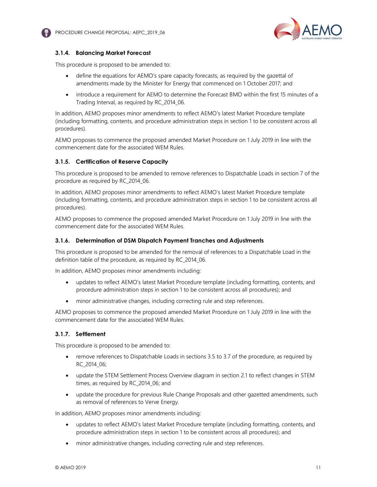



### 3.1.4. Balancing Market Forecast

This procedure is proposed to be amended to:

- define the equations for AEMO's spare capacity forecasts, as required by the gazettal of amendments made by the Minister for Energy that commenced on 1 October 2017; and
- introduce a requirement for AEMO to determine the Forecast BMO within the first 15 minutes of a Trading Interval, as required by RC\_2014\_06.

In addition, AEMO proposes minor amendments to reflect AEMO's latest Market Procedure template (including formatting, contents, and procedure administration steps in section 1 to be consistent across all procedures).

AEMO proposes to commence the proposed amended Market Procedure on 1 July 2019 in line with the commencement date for the associated WEM Rules.

#### 3.1.5. Certification of Reserve Capacity

This procedure is proposed to be amended to remove references to Dispatchable Loads in section 7 of the procedure as required by RC\_2014\_06.

In addition, AEMO proposes minor amendments to reflect AEMO's latest Market Procedure template (including formatting, contents, and procedure administration steps in section 1 to be consistent across all procedures).

AEMO proposes to commence the proposed amended Market Procedure on 1 July 2019 in line with the commencement date for the associated WEM Rules.

#### 3.1.6. Determination of DSM Dispatch Payment Tranches and Adjustments

This procedure is proposed to be amended for the removal of references to a Dispatchable Load in the definition table of the procedure, as required by RC\_2014\_06.

In addition, AEMO proposes minor amendments including:

- updates to reflect AEMO's latest Market Procedure template (including formatting, contents, and procedure administration steps in section 1 to be consistent across all procedures); and
- minor administrative changes, including correcting rule and step references.

AEMO proposes to commence the proposed amended Market Procedure on 1 July 2019 in line with the commencement date for the associated WEM Rules.

#### 3.1.7. Settlement

This procedure is proposed to be amended to:

- remove references to Dispatchable Loads in sections 3.5 to 3.7 of the procedure, as required by RC\_2014\_06;
- update the STEM Settlement Process Overview diagram in section 2.1 to reflect changes in STEM times, as required by RC\_2014\_06; and
- update the procedure for previous Rule Change Proposals and other gazetted amendments, such as removal of references to Verve Energy.

In addition, AEMO proposes minor amendments including:

- updates to reflect AEMO's latest Market Procedure template (including formatting, contents, and procedure administration steps in section 1 to be consistent across all procedures); and
- minor administrative changes, including correcting rule and step references.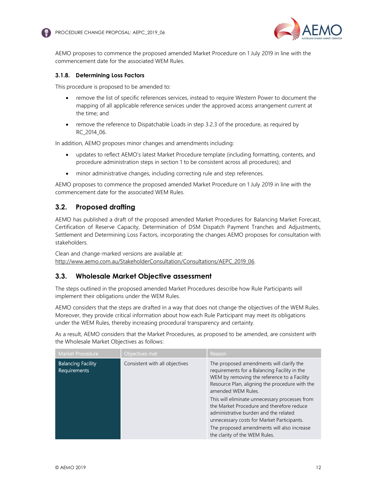



AEMO proposes to commence the proposed amended Market Procedure on 1 July 2019 in line with the commencement date for the associated WEM Rules.

#### 3.1.8. Determining Loss Factors

This procedure is proposed to be amended to:

- remove the list of specific references services, instead to require Western Power to document the mapping of all applicable reference services under the approved access arrangement current at the time; and
- remove the reference to Dispatchable Loads in step 3.2.3 of the procedure, as required by RC\_2014\_06.

In addition, AEMO proposes minor changes and amendments including:

- updates to reflect AEMO's latest Market Procedure template (including formatting, contents, and procedure administration steps in section 1 to be consistent across all procedures); and
- minor administrative changes, including correcting rule and step references.

AEMO proposes to commence the proposed amended Market Procedure on 1 July 2019 in line with the commencement date for the associated WEM Rules.

## 3.2. Proposed drafting

AEMO has published a draft of the proposed amended Market Procedures for Balancing Market Forecast, Certification of Reserve Capacity, Determination of DSM Dispatch Payment Tranches and Adjustments, Settlement and Determining Loss Factors, incorporating the changes AEMO proposes for consultation with stakeholders.

Clean and change-marked versions are available at: http://www.aemo.com.au/StakeholderConsultation/Consultations/AEPC\_2019\_06.

#### 3.3. Wholesale Market Objective assessment

The steps outlined in the proposed amended Market Procedures describe how Rule Participants will implement their obligations under the WEM Rules.

AEMO considers that the steps are drafted in a way that does not change the objectives of the WEM Rules. Moreover, they provide critical information about how each Rule Participant may meet its obligations under the WEM Rules, thereby increasing procedural transparency and certainty.

As a result, AEMO considers that the Market Procedures, as proposed to be amended, are consistent with the Wholesale Market Objectives as follows:

| <b>Balancing Facility</b><br>Consistent with all objectives<br>Requirements | Market Procedure | Objectives met | Reason                                                                                                                                                                                                                                                                                                                                                                          |
|-----------------------------------------------------------------------------|------------------|----------------|---------------------------------------------------------------------------------------------------------------------------------------------------------------------------------------------------------------------------------------------------------------------------------------------------------------------------------------------------------------------------------|
| amended WEM Rules.                                                          |                  |                | The proposed amendments will clarify the<br>requirements for a Balancing Facility in the<br>WEM by removing the reference to a Facility<br>Resource Plan, aligning the procedure with the<br>This will eliminate unnecessary processes from<br>the Market Procedure and therefore reduce<br>administrative burden and the related<br>unnecessary costs for Market Participants. |
| the clarity of the WEM Rules.                                               |                  |                | The proposed amendments will also increase                                                                                                                                                                                                                                                                                                                                      |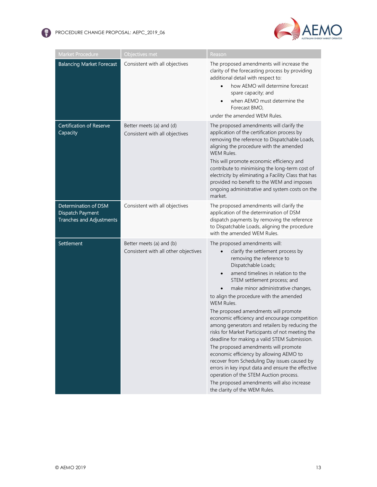



| <b>Market Procedure</b>                                                     | Objectives met                                                   | Reason                                                                                                                                                                                                                                                                                                                                                                                                                                                                                                                                                                                                                                                                                                                                                                                                                                                                                             |
|-----------------------------------------------------------------------------|------------------------------------------------------------------|----------------------------------------------------------------------------------------------------------------------------------------------------------------------------------------------------------------------------------------------------------------------------------------------------------------------------------------------------------------------------------------------------------------------------------------------------------------------------------------------------------------------------------------------------------------------------------------------------------------------------------------------------------------------------------------------------------------------------------------------------------------------------------------------------------------------------------------------------------------------------------------------------|
| <b>Balancing Market Forecast</b>                                            | Consistent with all objectives                                   | The proposed amendments will increase the<br>clarity of the forecasting process by providing<br>additional detail with respect to:<br>how AEMO will determine forecast<br>$\bullet$<br>spare capacity; and<br>when AEMO must determine the<br>Forecast BMO,<br>under the amended WEM Rules.                                                                                                                                                                                                                                                                                                                                                                                                                                                                                                                                                                                                        |
| Certification of Reserve<br>Capacity                                        | Better meets (a) and (d)<br>Consistent with all objectives       | The proposed amendments will clarify the<br>application of the certification process by<br>removing the reference to Dispatchable Loads,<br>aligning the procedure with the amended<br><b>WEM Rules.</b><br>This will promote economic efficiency and<br>contribute to minimising the long-term cost of<br>electricity by eliminating a Facility Class that has<br>provided no benefit to the WEM and imposes<br>ongoing administrative and system costs on the<br>market.                                                                                                                                                                                                                                                                                                                                                                                                                         |
| Determination of DSM<br>Dispatch Payment<br><b>Tranches and Adjustments</b> | Consistent with all objectives                                   | The proposed amendments will clarify the<br>application of the determination of DSM<br>dispatch payments by removing the reference<br>to Dispatchable Loads, aligning the procedure<br>with the amended WEM Rules.                                                                                                                                                                                                                                                                                                                                                                                                                                                                                                                                                                                                                                                                                 |
| Settlement                                                                  | Better meets (a) and (b)<br>Consistent with all other objectives | The proposed amendments will:<br>clarify the settlement process by<br>$\bullet$<br>removing the reference to<br>Dispatchable Loads;<br>amend timelines in relation to the<br>$\bullet$<br>STEM settlement process; and<br>make minor administrative changes,<br>$\bullet$<br>to align the procedure with the amended<br>WEM Rules.<br>The proposed amendments will promote<br>economic efficiency and encourage competition<br>among generators and retailers by reducing the<br>risks for Market Participants of not meeting the<br>deadline for making a valid STEM Submission.<br>The proposed amendments will promote<br>economic efficiency by allowing AEMO to<br>recover from Scheduling Day issues caused by<br>errors in key input data and ensure the effective<br>operation of the STEM Auction process.<br>The proposed amendments will also increase<br>the clarity of the WEM Rules. |